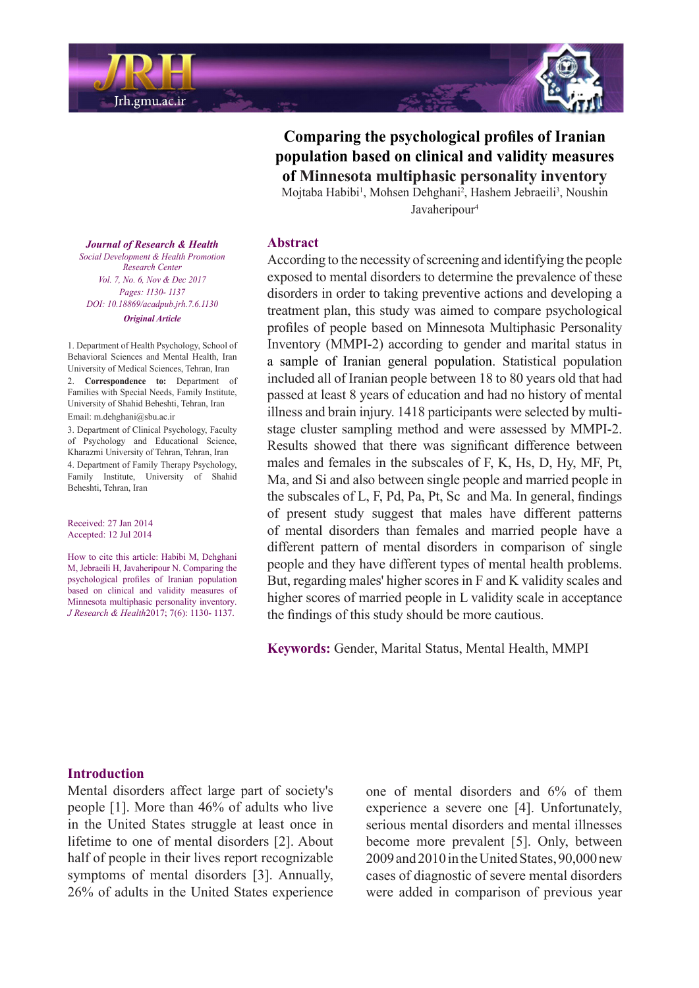

**Comparing the psychological profiles of Iranian** population based on clinical and validity measures **of Minnesota multiphasic personality inventory** 

Mojtaba Habibi<sup>1</sup>, Mohsen Dehghani<sup>2</sup>, Hashem Jebraeili<sup>3</sup>, Noushin Javaheripour<sup>4</sup>

#### **Abstract**

According to the necessity of screening and identifying the people exposed to mental disorders to determine the prevalence of these disorders in order to taking preventive actions and developing a treatment plan, this study was aimed to compare psychological profiles of people based on Minnesota Multiphasic Personality Inventory (MMPI-2) according to gender and marital status in a sample of Iranian general population. Statistical population included all of Iranian people between 18 to 80 years old that had passed at least 8 years of education and had no history of mental stage cluster sampling method and were assessed by MMPI-2. illness and brain injury. 1418 participants were selected by multi-Results showed that there was significant difference between males and females in the subscales of  $F$ ,  $K$ ,  $Hs$ ,  $D$ ,  $Hy$ ,  $MF$ ,  $Pt$ , Ma, and Si and also between single people and married people in the subscales of  $L$ ,  $F$ ,  $Pd$ ,  $Pa$ ,  $Pt$ ,  $Sc$  and  $Ma$ . In general, findings of present study suggest that males have different patterns of mental disorders than females and married people have a different pattern of mental disorders in comparison of single people and they have different types of mental health problems. But, regarding males' higher scores in F and K validity scales and higher scores of married people in L validity scale in acceptance the findings of this study should be more cautious.

Keywords: Gender, Marital Status, Mental Health, MMPI

#### *Journal of Research & Health Promotion Health & Development Social Center Research Vol. 7, No. 6, Nov & Dec 2017 Pages: 1130- 1137 DOI*: 10.18869/ acadpub.irh. 7.6.1130 *Article Original*

1. Department of Health Psychology, School of Behavioral Sciences and Mental Health, Iran University of Medical Sciences, Tehran, Iran

2. **Correspondence to:** Department of Families with Special Needs, Family Institute, University of Shahid Beheshti, Tehran, Iran Email: m.dehghani@sbu.ac.ir

3. Department of Clinical Psychology, Faculty of Psychology and Educational Science, Kharazmi University of Tehran, Tehran, Iran 4. Department of Family Therapy Psychology. Family Institute, University of Shahid Beheshti, Tehran, Iran

Received: 27 Jan 2014 Accepted: 12 Jul 2014

How to cite this article: Habibi M, Dehghani M, Jebraeili H, Javaheripour N. Comparing the psychological profiles of Iranian population based on clinical and validity measures of Minnesota multiphasic personality inventory. J Research & Health 2017; 7(6): 1130-1137.

#### **Introduction**

Mental disorders affect large part of society's people  $[1]$ . More than 46% of adults who live in the United States struggle at least once in lifetime to one of mental disorders [2]. About half of people in their lives report recognizable symptoms of mental disorders [3]. Annually, 26% of adults in the United States experience one of mental disorders and  $6\%$  of them experience a severe one [4]. Unfortunately, serious mental disorders and mental illnesses become more prevalent [5]. Only, between  $2009$  and  $2010$  in the United States,  $90,000$  new cases of diagnostic of severe mental disorders were added in comparison of previous year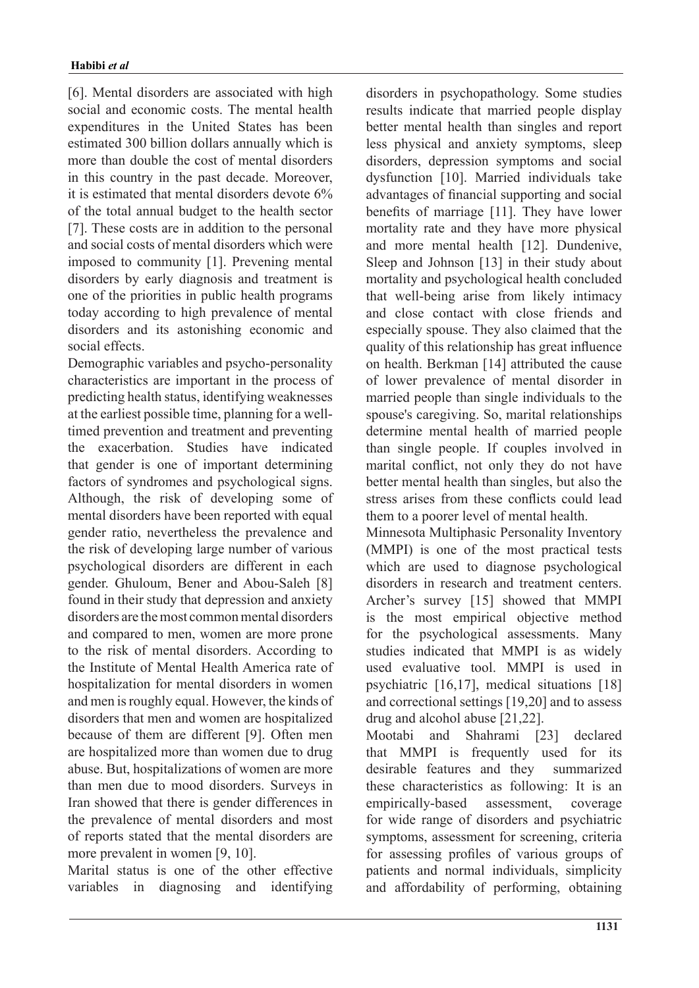[6]. Mental disorders are associated with high social and economic costs. The mental health expenditures in the United States has been estimated 300 billion dollars annually which is more than double the cost of mental disorders in this country in the past decade. Moreover, it is estimated that mental disorders devote 6% of the total annual budget to the health sector [7]. These costs are in addition to the personal and social costs of mental disorders which were imposed to community [1]. Prevening mental disorders by early diagnosis and treatment is one of the priorities in public health programs today according to high prevalence of mental disorders and its astonishing economic and social effects

Demographic variables and psycho-personality characteristics are important in the process of predicting health status, identifying weaknesses timed prevention and treatment and preventing at the earliest possible time, planning for a wellthe exacerbation. Studies have indicated that gender is one of important determining factors of syndromes and psychological signs. Although, the risk of developing some of mental disorders have been reported with equal gender ratio, nevertheless the prevalence and the risk of developing large number of various psychological disorders are different in each gender. Ghuloum, Bener and Abou-Saleh [8] found in their study that depression and anxiety disorders are the most common mental disorders and compared to men, women are more prone to the risk of mental disorders. According to the Institute of Mental Health America rate of hospitalization for mental disorders in women and men is roughly equal. However, the kinds of disorders that men and women are hospitalized because of them are different [9]. Often men are hospitalized more than women due to drug abuse. But, hospitalizations of women are more than men due to mood disorders. Surveys in Iran showed that there is gender differences in the prevalence of mental disorders and most of reports stated that the mental disorders are more prevalent in women  $[9, 10]$ .

Marital status is one of the other effective variables in diagnosing and identifying disorders in psychopathology. Some studies results indicate that married people display better mental health than singles and report less physical and anxiety symptoms, sleep disorders, depression symptoms and social dysfunction [10]. Married individuals take advantages of financial supporting and social benefits of marriage  $[11]$ . They have lower mortality rate and they have more physical and more mental health [12]. Dundenive, Sleep and Johnson [13] in their study about mortality and psychological health concluded that well-being arise from likely intimacy and close contact with close friends and especially spouse. They also claimed that the quality of this relationship has great influence on health. Berkman [14] attributed the cause of lower prevalence of mental disorder in married people than single individuals to the spouse's caregiving. So, marital relationships determine mental health of married people than single people. If couples involved in marital conflict, not only they do not have better mental health than singles, but also the stress arises from these conflicts could lead them to a poorer level of mental health.

Minnesota Multiphasic Personality Inventory  $(MMPI)$  is one of the most practical tests which are used to diagnose psychological disorders in research and treatment centers. Archer's survey [15] showed that MMPI is the most empirical objective method for the psychological assessments. Many studies indicated that MMPI is as widely used evaluative tool. MMPI is used in psychiatric  $[16,17]$ , medical situations  $[18]$ and correctional settings  $[19,20]$  and to assess drug and alcohol abuse  $[21,22]$ .

Mootabi and Shahrami [23] declared that MMPI is frequently used for its desirable features and they summarized these characteristics as following: It is an empirically-based assessment, coverage for wide range of disorders and psychiatric symptoms, assessment for screening, criteria for assessing profiles of various groups of patients and normal individuals, simplicity and affordability of performing, obtaining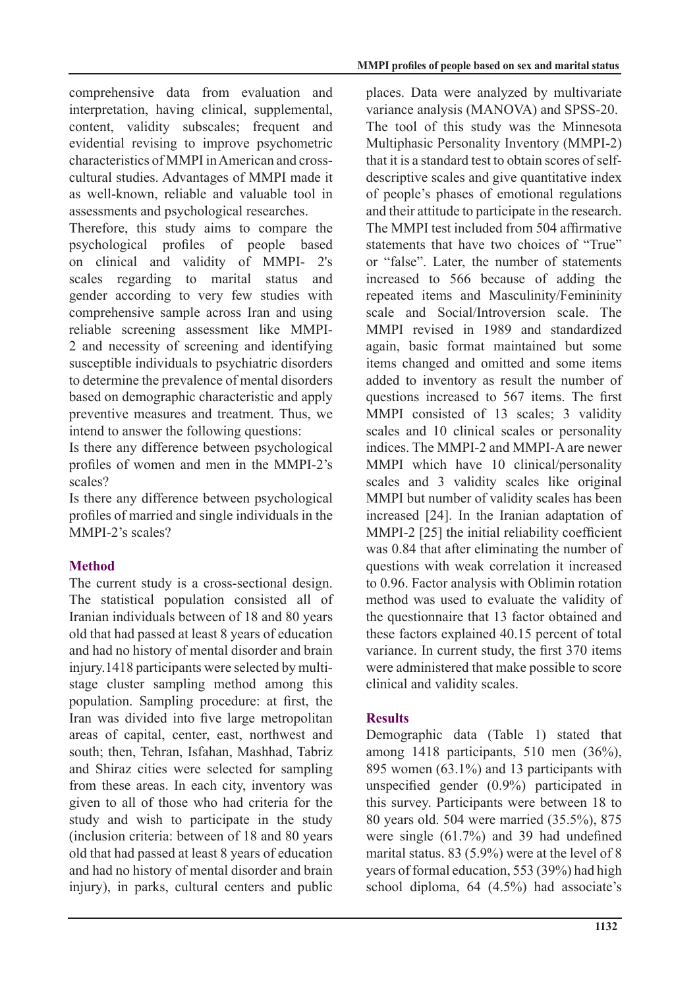comprehensive data from evaluation and interpretation, having clinical, supplemental, content, validity subscales; frequent and evidential revising to improve psychometric cultural studies. Advantages of MMPI made it characteristics of MMPI in American and crossas well-known, reliable and valuable tool in assessments and psychological researches.

Therefore, this study aims to compare the psychological profiles of people based on clinical and validity of MMPI- 2's scales regarding to marital status and gender according to very few studies with comprehensive sample across Iran and using reliable screening assessment like MMPI-<br>2 and necessity of screening and identifying susceptible individuals to psychiatric disorders to determine the prevalence of mental disorders based on demographic characteristic and apply preventive measures and treatment. Thus, we intend to answer the following questions:

Is there any difference between psychological profiles of women and men in the MMPI-2's scales?

Is there any difference between psychological profiles of married and single individuals in the MMPI-2's scales?

# **Method**

The current study is a cross-sectional design. The statistical population consisted all of Iranian individuals between of 18 and 80 years old that had passed at least 8 years of education and had no history of mental disorder and brain stage cluster sampling method among this injury.1418 participants were selected by multipopulation. Sampling procedure: at first, the Iran was divided into five large metropolitan areas of capital, center, east, northwest and south; then, Tehran, Isfahan, Mashhad, Tabriz and Shiraz cities were selected for sampling from these areas. In each city, inventory was given to all of those who had criteria for the study and wish to participate in the study (inclusion criteria: between of  $18$  and  $80$  years) old that had passed at least 8 years of education and had no history of mental disorder and brain injury), in parks, cultural centers and public places. Data were analyzed by multivariate variance analysis (MANOVA) and SPSS-20. The tool of this study was the Minnesota Multiphasic Personality Inventory (MMPI-2) descriptive scales and give quantitative index that it is a standard test to obtain scores of selfof people's phases of emotional regulations and their attitude to participate in the research. The MMPI test included from 504 affirmative statements that have two choices of "True" or "false". Later, the number of statements increased to 566 because of adding the repeated items and Masculinity/Femininity scale and Social/Introversion scale. The MMPI revised in 1989 and standardized again, basic format maintained but some items changed and omitted and some items added to inventory as result the number of questions increased to 567 items. The first MMPI consisted of 13 scales; 3 validity scales and 10 clinical scales or personality indices. The MMPI-2 and MMPI-A are newer MMPI which have 10 clinical/personality scales and 3 validity scales like original MMPI but number of validity scales has been increased  $[24]$ . In the Iranian adaptation of MMPI-2  $[25]$  the initial reliability coefficient was  $0.84$  that after eliminating the number of questions with weak correlation it increased to 0.96. Factor analysis with Oblimin rotation method was used to evaluate the validity of the questionnaire that 13 factor obtained and these factors explained  $40.15$  percent of total variance. In current study, the first 370 items were administered that make possible to score clinical and validity scales.

### **Results**

Demographic data (Table 1) stated that among 1418 participants, 510 men  $(36\%)$ , 895 women  $(63.1\%)$  and 13 participants with unspecified gender  $(0.9\%)$  participated in this survey. Participants were between 18 to 80 years old. 504 were married (35.5%), 875 were single  $(61.7\%)$  and 39 had undefined marital status.  $83$  (5.9%) were at the level of 8 years of formal education, 553 (39%) had high school diploma,  $64$   $(4.5\%)$  had associate's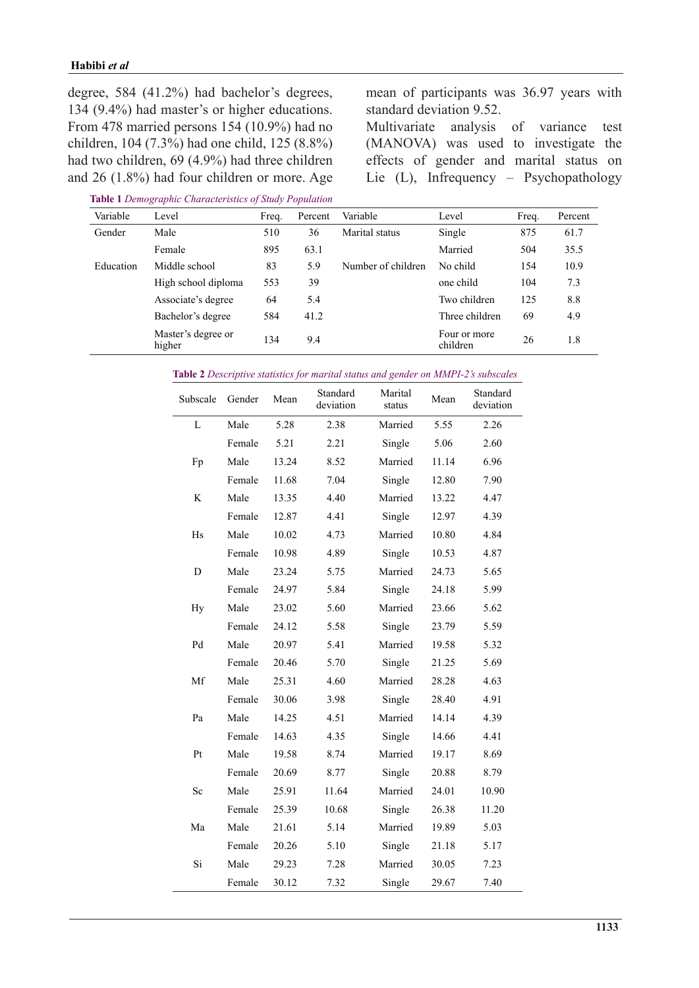degree, 584  $(41.2\%)$  had bachelor's degrees, 134  $(9.4\%)$  had master's or higher educations. From 478 married persons  $154 (10.9%)$  had no children, 104 (7.3%) had one child, 125 (8.8%) had two children, 69 (4.9%) had three children and  $26$  (1.8%) had four children or more. Age

**Table 1** Demographic Characteristics of Study Population

mean of participants was 36.97 years with standard deviation 9.52.

Multivariate analysis of variance test (MANOVA) was used to investigate the effects of gender and marital status on Lie (L), Infrequency – Psychopathology

| Variable  | Level                        | Freq. | Percent | Variable           | Level                    | Freq. | Percent |
|-----------|------------------------------|-------|---------|--------------------|--------------------------|-------|---------|
| Gender    | Male                         | 510   | 36      | Marital status     | Single                   | 875   | 61.7    |
|           | Female                       | 895   | 63.1    |                    | Married                  | 504   | 35.5    |
| Education | Middle school                | 83    | 5.9     | Number of children | No child                 | 154   | 10.9    |
|           | High school diploma          | 553   | 39      |                    | one child                | 104   | 7.3     |
|           | Associate's degree           | 64    | 5.4     |                    | Two children             | 125   | 8.8     |
|           | Bachelor's degree            | 584   | 41.2    |                    | Three children           | 69    | 4.9     |
|           | Master's degree or<br>higher | 134   | 9.4     |                    | Four or more<br>children | 26    | 1.8     |

Table 2 Descriptive statistics for marital status and gender on MMPI-2's subscales

| Subscale | Gender | Mean  | Standard<br>deviation | Marital<br>status | Mean  | Standard<br>deviation |
|----------|--------|-------|-----------------------|-------------------|-------|-----------------------|
| L        | Male   | 5.28  | 2.38                  | Married           | 5.55  | 2.26                  |
|          | Female | 5.21  | 2.21                  | Single            | 5.06  | 2.60                  |
| Fp       | Male   | 13.24 | 8.52                  | Married           | 11.14 | 6.96                  |
|          | Female | 11.68 | 7.04                  | Single            | 12.80 | 7.90                  |
| K        | Male   | 13.35 | 4.40                  | Married           | 13.22 | 4.47                  |
|          | Female | 12.87 | 4.41                  | Single            | 12.97 | 4.39                  |
| Hs       | Male   | 10.02 | 4.73                  | Married           | 10.80 | 4.84                  |
|          | Female | 10.98 | 4.89                  | Single            | 10.53 | 4.87                  |
| D        | Male   | 23.24 | 5.75                  | Married           | 24.73 | 5.65                  |
|          | Female | 24.97 | 5.84                  | Single            | 24.18 | 5.99                  |
| Hy       | Male   | 23.02 | 5.60                  | Married           | 23.66 | 5.62                  |
|          | Female | 24.12 | 5.58                  | Single            | 23.79 | 5.59                  |
| Pd       | Male   | 20.97 | 5.41                  | Married           | 19.58 | 5.32                  |
|          | Female | 20.46 | 5.70                  | Single            | 21.25 | 5.69                  |
| Mf       | Male   | 25.31 | 4.60                  | Married           | 28.28 | 4.63                  |
|          | Female | 30.06 | 3.98                  | Single            | 28.40 | 4.91                  |
| Pa       | Male   | 14.25 | 4.51                  | Married           | 14.14 | 4.39                  |
|          | Female | 14.63 | 4.35                  | Single            | 14.66 | 4.41                  |
| Pt       | Male   | 19.58 | 8.74                  | Married           | 19.17 | 8.69                  |
|          | Female | 20.69 | 8.77                  | Single            | 20.88 | 8.79                  |
| Sc       | Male   | 25.91 | 11.64                 | Married           | 24.01 | 10.90                 |
|          | Female | 25.39 | 10.68                 | Single            | 26.38 | 11.20                 |
| Ma       | Male   | 21.61 | 5.14                  | Married           | 19.89 | 5.03                  |
|          | Female | 20.26 | 5.10                  | Single            | 21.18 | 5.17                  |
| Si       | Male   | 29.23 | 7.28                  | Married           | 30.05 | 7.23                  |
|          | Female | 30.12 | 7.32                  | Single            | 29.67 | 7.40                  |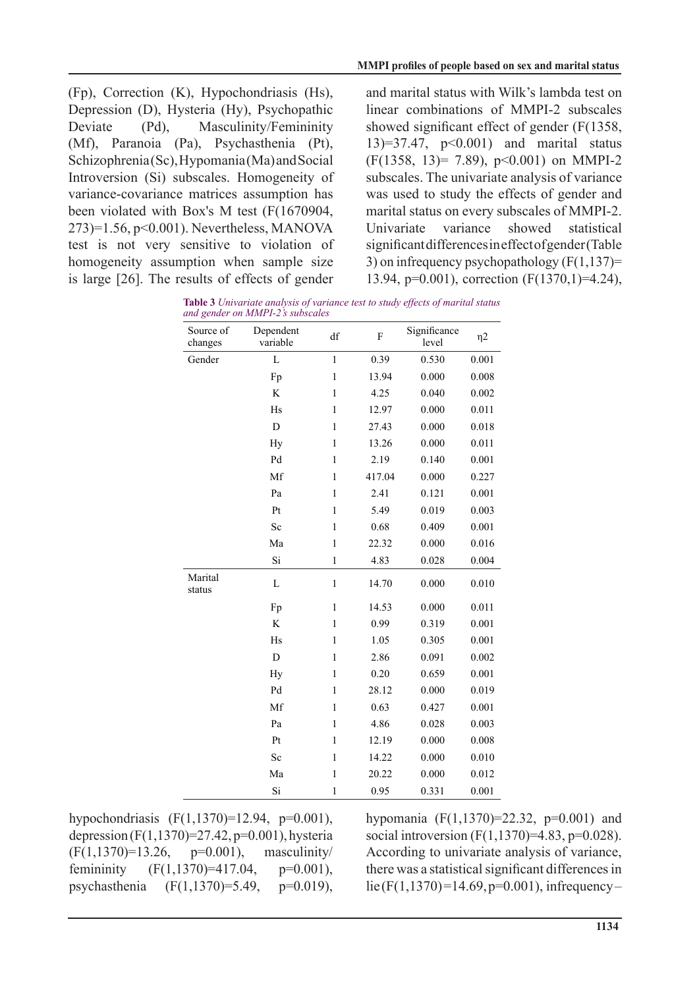$(Fp)$ , Correction  $(K)$ , Hypochondriasis  $(Hs)$ , Depression (D), Hysteria (Hy), Psychopathic Deviate (Pd), Masculinity/Femininity  $(Mf)$ , Paranoia (Pa), Psychasthenia (Pt),  $Schizophrenia(Sc)$ , Hypomania (Ma) and Social Introversion (Si) subscales. Homogeneity of variance-covariance matrices assumption has been violated with Box's M test  $(F(1670904,$  $273$ )=1.56, p<0.001). Nevertheless, MANOVA test is not very sensitive to violation of homogeneity assumption when sample size is large  $[26]$ . The results of effects of gender

and marital status with Wilk's lambda test on linear combinations of MMPI-2 subscales showed significant effect of gender  $(F(1358,$  $(13)=37.47$ ,  $p<0.001$ ) and marital status  $(F(1358, 13)= 7.89)$ ,  $p<0.001$ ) on MMPI-2 subscales. The univariate analysis of variance was used to study the effects of gender and marital status on every subscales of MMPI-2. Univariate variance showed statistical significant differences in effect of gender (Table 3) on infrequency psychopathology  $(F(1,137)) =$ 13.94, p=0.001), correction  $(F(1370,1)=4.24)$ ,

**Table 3** Univariate analysis of variance test to study effects of marital status and gender on MMPI-2's subscales

| Source of<br>changes | Dependent<br>variable | df           | F      | Significance<br>level | $\eta$ 2 |
|----------------------|-----------------------|--------------|--------|-----------------------|----------|
| Gender               | $\mathbf{L}$          | $\mathbf{1}$ | 0.39   | 0.530                 | 0.001    |
|                      | Fp                    | $\,1$        | 13.94  | 0.000                 | 0.008    |
|                      | K                     | $\mathbf{1}$ | 4.25   | 0.040                 | 0.002    |
|                      | Hs                    | $\mathbf{1}$ | 12.97  | 0.000                 | 0.011    |
|                      | D                     | $\,1$        | 27.43  | 0.000                 | 0.018    |
|                      | Hy                    | $\mathbf{1}$ | 13.26  | 0.000                 | 0.011    |
|                      | Pd                    | $\mathbf{1}$ | 2.19   | 0.140                 | 0.001    |
|                      | Mf                    | $\mathbf{1}$ | 417.04 | 0.000                 | 0.227    |
|                      | Pa                    | $\,1$        | 2.41   | 0.121                 | 0.001    |
|                      | Pt                    | $\,1$        | 5.49   | 0.019                 | 0.003    |
|                      | Sc                    | $\mathbf{1}$ | 0.68   | 0.409                 | 0.001    |
|                      | Ma                    | $\mathbf{1}$ | 22.32  | 0.000                 | 0.016    |
|                      | Si                    | $\mathbf{1}$ | 4.83   | 0.028                 | 0.004    |
| Marital<br>status    | L                     | $\mathbf{1}$ | 14.70  | 0.000                 | 0.010    |
|                      | Fp                    | $\mathbf{1}$ | 14.53  | 0.000                 | 0.011    |
|                      | $\rm K$               | $\mathbf{1}$ | 0.99   | 0.319                 | 0.001    |
|                      | Hs                    | $\mathbf{1}$ | 1.05   | 0.305                 | 0.001    |
|                      | D                     | $\mathbf{1}$ | 2.86   | 0.091                 | 0.002    |
|                      | Hy                    | $\,1$        | 0.20   | 0.659                 | 0.001    |
|                      | Pd                    | $\mathbf{1}$ | 28.12  | 0.000                 | 0.019    |
|                      | Mf                    | $\mathbf{1}$ | 0.63   | 0.427                 | 0.001    |
|                      | Pa                    | $\mathbf{1}$ | 4.86   | 0.028                 | 0.003    |
|                      | Pt                    | $\mathbf{1}$ | 12.19  | 0.000                 | 0.008    |
|                      | Sc                    | $\mathbf{1}$ | 14.22  | 0.000                 | 0.010    |
|                      | Ma                    | $\mathbf{1}$ | 20.22  | 0.000                 | 0.012    |
|                      | Si                    | $\mathbf{1}$ | 0.95   | 0.331                 | 0.001    |

hypochondriasis  $(F(1, 1370)=12.94, p=0.001)$ , depression  $(F(1, 1370)=27.42, p=0.001)$ , hysteria  $(F(1, 1370)=13.26, p=0.001)$ , masculinity femininity  $(F(1,1370)=417.04, p=0.001)$ , psychasthenia  $(F(1,1370)=5.49, p=0.019)$ , hypomania  $(F(1, 1370)=22.32, p=0.001)$  and social introversion  $(F(1, 1370)=4.83, p=0.028)$ . According to univariate analysis of variance, there was a statistical significant differences in  $lie (F(1,1370) = 14.69, p = 0.001)$ , infrequency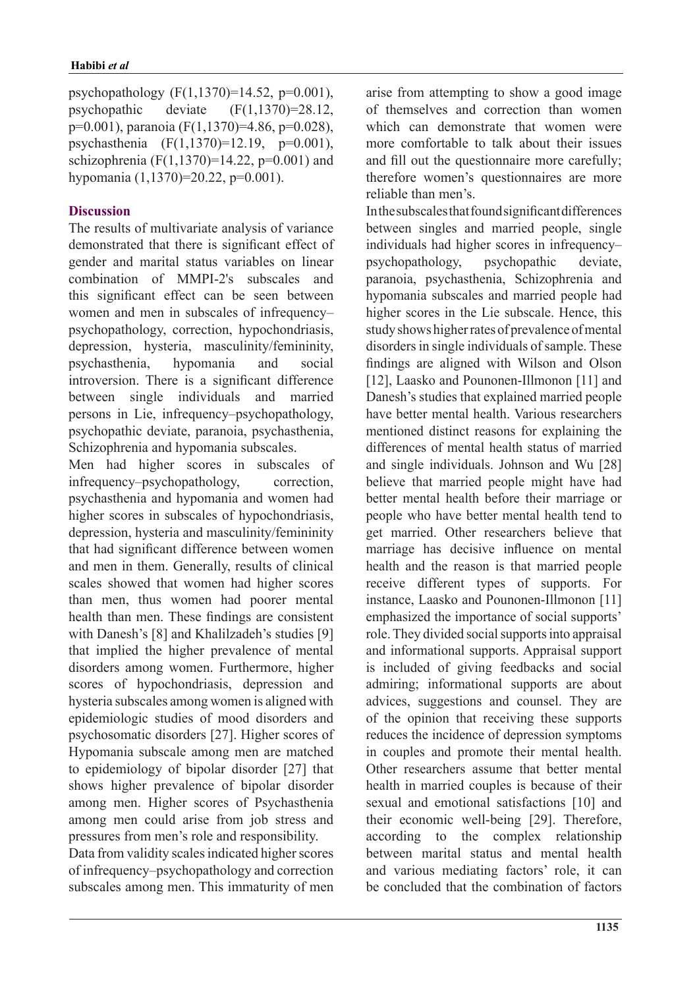psychopathology  $(F(1,1370)=14.52, p=0.001)$ , psychopathic deviate  $(F(1,1370)=28.12)$ ,  $p=0.001$ ), paranoia (F(1,1370)=4.86, p=0.028), psychasthenia  $(F(1, 1370)=12.19, p=0.001)$ , schizophrenia (F $(1,1370)$ =14.22, p=0.001) and hypomania  $(1,1370) = 20.22$ , p=0,001).

### **Discussion**

The results of multivariate analysis of variance demonstrated that there is significant effect of gender and marital status variables on linear combination of MMPI-2's subscales and this significant effect can be seen between women and men in subscales of infrequencypsychopathology, correction, hypochondriasis, depression, hysteria, masculinity/femininity, psychasthenia, hypomania and social introversion. There is a significant difference between single individuals and married persons in Lie, infrequency-psychopathology, psychopathic deviate, paranoia, psychasthenia, Schizophrenia and hypomania subscales.

Men had higher scores in subscales of infrequency-psychopathology, correction, psychasthenia and hypomania and women had higher scores in subscales of hypochondriasis, depression, hysteria and masculinity/femininity that had significant difference between women and men in them. Generally, results of clinical scales showed that women had higher scores than men, thus women had poorer mental health than men. These findings are consistent with Danesh's [8] and Khalilzadeh's studies [9] that implied the higher prevalence of mental disorders among women. Furthermore, higher scores of hypochondriasis, depression and hysteria subscales among women is aligned with epidemiologic studies of mood disorders and psychosomatic disorders [27]. Higher scores of Hypomania subscale among men are matched to epidemiology of bipolar disorder  $[27]$  that shows higher prevalence of bipolar disorder among men. Higher scores of Psychasthenia among men could arise from job stress and pressures from men's role and responsibility.

Data from validity scales indicated higher scores of infrequency–psychopathology and correction subscales among men. This immaturity of men arise from attempting to show a good image of themselves and correction than women which can demonstrate that women were more comfortable to talk about their issues and fill out the questionnaire more carefully; therefore women's questionnaires are more reliable than men's

In the subscales that found significant differences between singles and married people, single individuals had higher scores in infrequencypsychopathology, psychopathic deviate, paranoia, psychasthenia, Schizophrenia and hypomania subscales and married people had higher scores in the Lie subscale. Hence, this study shows higher rates of prevalence of mental disorders in single individuals of sample. These findings are aligned with Wilson and Olson [12], Laasko and Pounonen-Illmonon [11] and Danesh's studies that explained married people have better mental health. Various researchers mentioned distinct reasons for explaining the differences of mental health status of married and single individuals. Johnson and Wu [28] believe that married people might have had better mental health before their marriage or people who have better mental health tend to get married. Other researchers believe that marriage has decisive influence on mental health and the reason is that married people receive different types of supports. For instance, Laasko and Pounonen-Illmonon [11] emphasized the importance of social supports' role. They divided social supports into appraisal and informational supports. Appraisal support is included of giving feedbacks and social admiring; informational supports are about advices, suggestions and counsel. They are of the opinion that receiving these supports reduces the incidence of depression symptoms in couples and promote their mental health. Other researchers assume that better mental health in married couples is because of their sexual and emotional satisfactions [10] and their economic well-being [29]. Therefore, according to the complex relationship between marital status and mental health and various mediating factors' role, it can be concluded that the combination of factors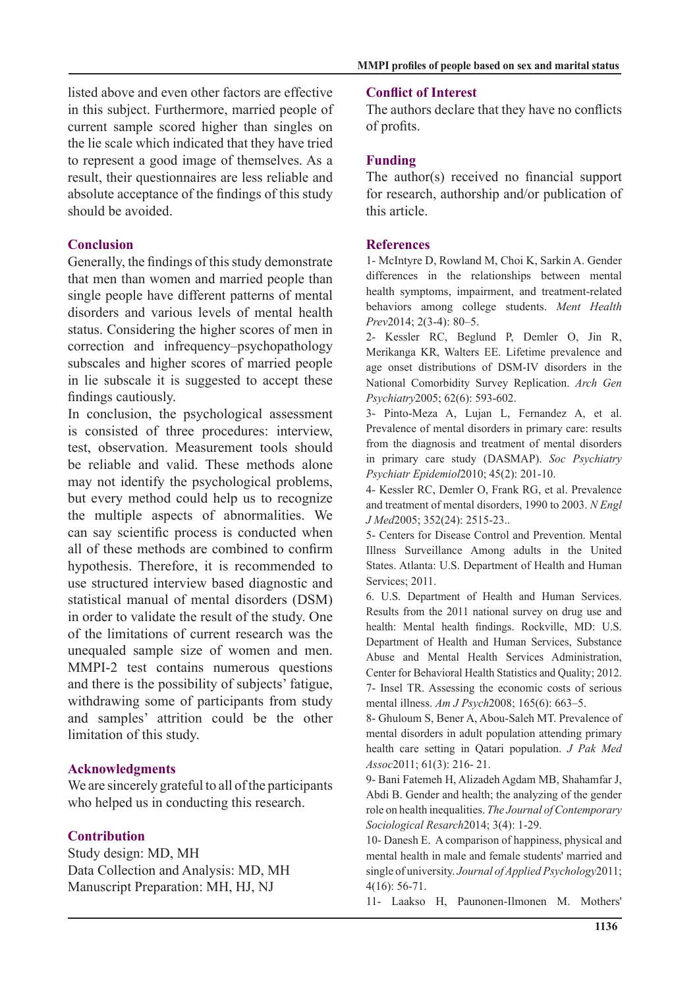listed above and even other factors are effective in this subject. Furthermore, married people of current sample scored higher than singles on the lie scale which indicated that they have tried to represent a good image of themselves. As a result, their questionnaires are less reliable and absolute acceptance of the findings of this study should be avoided

## **Conclusion**

Generally, the findings of this study demonstrate that men than women and married people than single people have different patterns of mental disorders and various levels of mental health status. Considering the higher scores of men in correction and infrequency-psychopathology subscales and higher scores of married people in lie subscale it is suggested to accept these findings cautiously.

In conclusion, the psychological assessment is consisted of three procedures: interview, test, observation. Measurement tools should be reliable and valid. These methods alone may not identify the psychological problems, but every method could help us to recognize the multiple aspects of abnormalities. We can say scientific process is conducted when all of these methods are combined to confirm hypothesis. Therefore, it is recommended to use structured interview based diagnostic and statistical manual of mental disorders (DSM) in order to validate the result of the study. One of the limitations of current research was the unequaled sample size of women and men. MMPI-2 test contains numerous questions and there is the possibility of subjects' fatigue, withdrawing some of participants from study and samples' attrition could be the other limitation of this study.

### **Acknowledgments**

We are sincerely grateful to all of the participants who helped us in conducting this research.

## **Contribution**

Study design: MD, MH Data Collection and Analysis: MD, MH Manuscript Preparation: MH, HJ, NJ

#### **Conflict of Interest**

The authors declare that they have no conflicts of profits.

### **Funding**

The author  $(s)$  received no financial support for research, authorship and/or publication of this article.

#### **References**

1- McIntyre D, Rowland M, Choi K, Sarkin A. Gender differences in the relationships between mental health symptoms, impairment, and treatment-related **behaviors** among college students. Ment Health Prev2014; 2(3-4): 80-5.

2- Kessler RC, Beglund P, Demler O, Jin R, Merikanga KR, Walters EE. Lifetime prevalence and age onset distributions of DSM-IV disorders in the **National Comorbidity Survey Replication.** Arch Gen Psychiatry2005; 62(6): 593-602.

3- Pinto-Meza A, Lujan L, Fernandez A, et al. Prevalence of mental disorders in primary care: results from the diagnosis and treatment of mental disorders in primary care study (DASMAP). Soc Psychiatry Psychiatr Epidemiol 2010; 45(2): 201-10.

4- Kessler RC, Demler O, Frank RG, et al. Prevalence and treatment of mental disorders, 1990 to 2003. N Engl J Med 2005; 352 (24): 2515-23..

5- Centers for Disease Control and Prevention. Mental Illness Surveillance Among adults in the United States. Atlanta: U.S. Department of Health and Human Services; 2011.

6. U.S. Department of Health and Human Services. Results from the 2011 national survey on drug use and health: Mental health findings. Rockville, MD: U.S. Department of Health and Human Services, Substance Abuse and Mental Health Services Administration, Center for Behavioral Health Statistics and Quality; 2012. 7- Insel TR. Assessing the economic costs of serious mental illness. Am J Psych 2008; 165(6): 663-5.

8- Ghuloum S, Bener A, Abou-Saleh MT. Prevalence of mental disorders in adult population attending primary health care setting in Qatari population. *J Pak Med* Assoc2011; 61(3): 216- 21.

9- Bani Fatemeh H, Alizadeh Agdam MB, Shahamfar J, Abdi B. Gender and health; the analyzing of the gender role on health inequalities. The Journal of Contemporary Sociological Resarch 2014; 3(4): 1-29.

10- Danesh E. A comparison of happiness, physical and mental health in male and female students' married and single of university. Journal of Applied Psychology 2011;  $4(16)$ : 56-71.

11- Laakso H, Paunonen-Ilmonen M. Mothers'